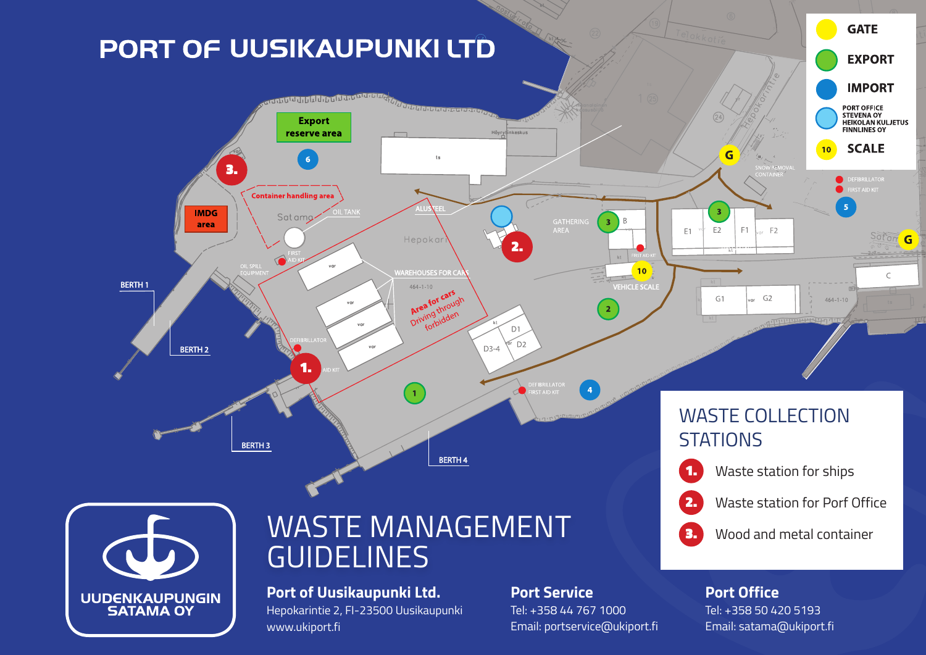

www.ukiport.fi

Email: portservice@ukiport.fi

Email: satama@ukiport.fi